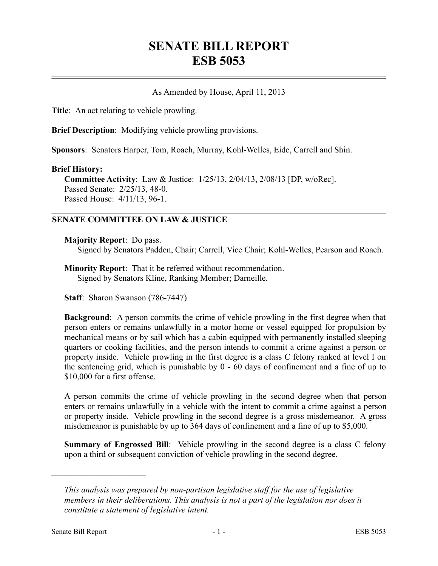# **SENATE BILL REPORT ESB 5053**

# As Amended by House, April 11, 2013

**Title**: An act relating to vehicle prowling.

**Brief Description**: Modifying vehicle prowling provisions.

**Sponsors**: Senators Harper, Tom, Roach, Murray, Kohl-Welles, Eide, Carrell and Shin.

#### **Brief History:**

**Committee Activity**: Law & Justice: 1/25/13, 2/04/13, 2/08/13 [DP, w/oRec]. Passed Senate: 2/25/13, 48-0. Passed House: 4/11/13, 96-1.

# **SENATE COMMITTEE ON LAW & JUSTICE**

#### **Majority Report**: Do pass.

Signed by Senators Padden, Chair; Carrell, Vice Chair; Kohl-Welles, Pearson and Roach.

**Minority Report**: That it be referred without recommendation. Signed by Senators Kline, Ranking Member; Darneille.

**Staff**: Sharon Swanson (786-7447)

**Background**: A person commits the crime of vehicle prowling in the first degree when that person enters or remains unlawfully in a motor home or vessel equipped for propulsion by mechanical means or by sail which has a cabin equipped with permanently installed sleeping quarters or cooking facilities, and the person intends to commit a crime against a person or property inside. Vehicle prowling in the first degree is a class C felony ranked at level I on the sentencing grid, which is punishable by 0 - 60 days of confinement and a fine of up to \$10,000 for a first offense.

A person commits the crime of vehicle prowling in the second degree when that person enters or remains unlawfully in a vehicle with the intent to commit a crime against a person or property inside. Vehicle prowling in the second degree is a gross misdemeanor. A gross misdemeanor is punishable by up to 364 days of confinement and a fine of up to \$5,000.

**Summary of Engrossed Bill**: Vehicle prowling in the second degree is a class C felony upon a third or subsequent conviction of vehicle prowling in the second degree.

––––––––––––––––––––––

*This analysis was prepared by non-partisan legislative staff for the use of legislative members in their deliberations. This analysis is not a part of the legislation nor does it constitute a statement of legislative intent.*